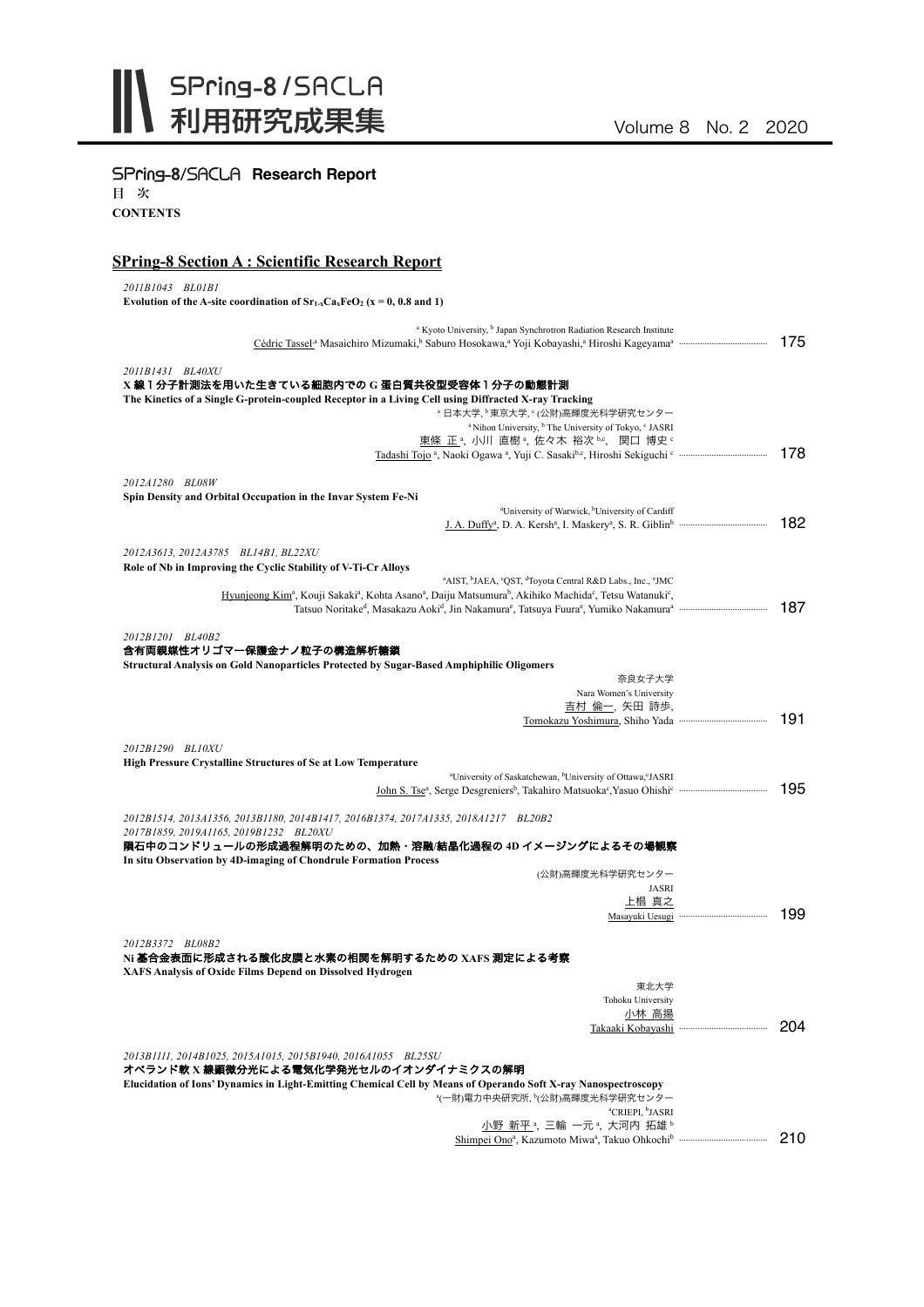

# SPring-8/SACLA Research Report

目 次

**CONTENTS**

### **SPring-8 Section A : Scientific Research Report**

*2011B1043 BL01B1*

Evolution of the A-site coordination of  $Sr_{1-x}Ca_xFeO_2$  ( $x = 0, 0.8$  and 1)

| <sup>a</sup> Kyoto University, <sup>b</sup> Japan Synchrotron Radiation Research Institute                                                                                      |     |
|---------------------------------------------------------------------------------------------------------------------------------------------------------------------------------|-----|
|                                                                                                                                                                                 | 175 |
|                                                                                                                                                                                 |     |
| 2011B1431 BL40XU                                                                                                                                                                |     |
| X 線 1 分子計測法を用いた生きている細胞内での G 蛋白質共役型受容体 1 分子の動態計測                                                                                                                                 |     |
| The Kinetics of a Single G-protein-coupled Receptor in a Living Cell using Diffracted X-ray Tracking                                                                            |     |
| <sup>。</sup> 日本大学, <sup>。</sup> 東京大学, ° (公財)高輝度光科学研究センター                                                                                                                        |     |
| <sup>a</sup> Nihon University, <sup>b</sup> The University of Tokyo, <sup>c</sup> JASRI<br>東條 正 <sup>a</sup> , 小川 直樹 <sup>a</sup> , 佐々木 裕次 b.c, 関口 博史 c                         |     |
|                                                                                                                                                                                 | 178 |
|                                                                                                                                                                                 |     |
| 2012A1280 BL08W                                                                                                                                                                 |     |
| Spin Density and Orbital Occupation in the Invar System Fe-Ni                                                                                                                   |     |
| <sup>a</sup> University of Warwick, <sup>b</sup> University of Cardiff                                                                                                          |     |
|                                                                                                                                                                                 | 182 |
|                                                                                                                                                                                 |     |
| 2012A3613, 2012A3785 BL14B1, BL22XU                                                                                                                                             |     |
| Role of Nb in Improving the Cyclic Stability of V-Ti-Cr Alloys                                                                                                                  |     |
| <sup>a</sup> AIST, <sup>b</sup> JAEA, <sup>c</sup> QST, <sup>d</sup> Toyota Central R&D Labs., Inc., <sup>c</sup> JMC                                                           |     |
| Hyunjeong Kim <sup>a</sup> , Kouji Sakaki <sup>a</sup> , Kohta Asano <sup>a</sup> , Daiju Matsumura <sup>b</sup> , Akihiko Machida <sup>c</sup> , Tetsu Watanuki <sup>c</sup> , |     |
|                                                                                                                                                                                 | 187 |
|                                                                                                                                                                                 |     |
| 2012B1201 BL40B2                                                                                                                                                                |     |
| 含有両親媒性オリゴマー保護金ナノ粒子の構造解析糖鎖                                                                                                                                                       |     |
| Structural Analysis on Gold Nanoparticles Protected by Sugar-Based Amphiphilic Oligomers                                                                                        |     |
| 奈良女子大学                                                                                                                                                                          |     |
| Nara Women's University                                                                                                                                                         |     |
| 吉村 倫一, 矢田 詩歩,                                                                                                                                                                   | 191 |
|                                                                                                                                                                                 |     |
| 2012B1290 BL10XU                                                                                                                                                                |     |
| <b>High Pressure Crystalline Structures of Se at Low Temperature</b>                                                                                                            |     |
| <sup>a</sup> University of Saskatchewan, <sup>b</sup> University of Ottawa, <sup>c</sup> JASRI                                                                                  |     |
|                                                                                                                                                                                 | 195 |
|                                                                                                                                                                                 |     |
| 2012B1514, 2013A1356, 2013B1180, 2014B1417, 2016B1374, 2017A1335, 2018A1217 BL20B2                                                                                              |     |
| 2017B1859, 2019A1165, 2019B1232 BL20XU                                                                                                                                          |     |
| 隕石中のコンドリュールの形成過程解明のための、加熱・溶融/結晶化過程の 4D イメージングによるその場観察                                                                                                                           |     |
| In situ Observation by 4D-imaging of Chondrule Formation Process                                                                                                                |     |
| (公財)高輝度光科学研究センター                                                                                                                                                                |     |
| <b>JASRI</b>                                                                                                                                                                    |     |
| 上椙 真之                                                                                                                                                                           |     |
|                                                                                                                                                                                 | 199 |
|                                                                                                                                                                                 |     |
| 2012B3372 BL08B2                                                                                                                                                                |     |
| Ni 基合金表面に形成される酸化皮膜と水素の相関を解明するための XAFS 測定による考察                                                                                                                                   |     |
| XAFS Analysis of Oxide Films Depend on Dissolved Hydrogen                                                                                                                       |     |
| 東北大学                                                                                                                                                                            |     |
| Tohoku University                                                                                                                                                               |     |
| 小林 高揚                                                                                                                                                                           | 204 |
|                                                                                                                                                                                 |     |
| 2013B1111, 2014B1025, 2015A1015, 2015B1940, 2016A1055 BL25SU                                                                                                                    |     |
| オペランド軟 X 線顕微分光による電気化学発光セルのイオンダイナミクスの解明                                                                                                                                          |     |
| Elucidation of Ions' Dynamics in Light-Emitting Chemical Cell by Means of Operando Soft X-ray Nanospectroscopy                                                                  |     |
| *(一財)電力中央研究所, <sup>b</sup> (公財)高輝度光科学研究センター                                                                                                                                     |     |
| <sup>a</sup> CRIEPI, <sup>b</sup> JASRI                                                                                                                                         |     |
| 小野 新平 ,三輪 一元 ,大河内 拓雄 。                                                                                                                                                          |     |
|                                                                                                                                                                                 | 210 |
|                                                                                                                                                                                 |     |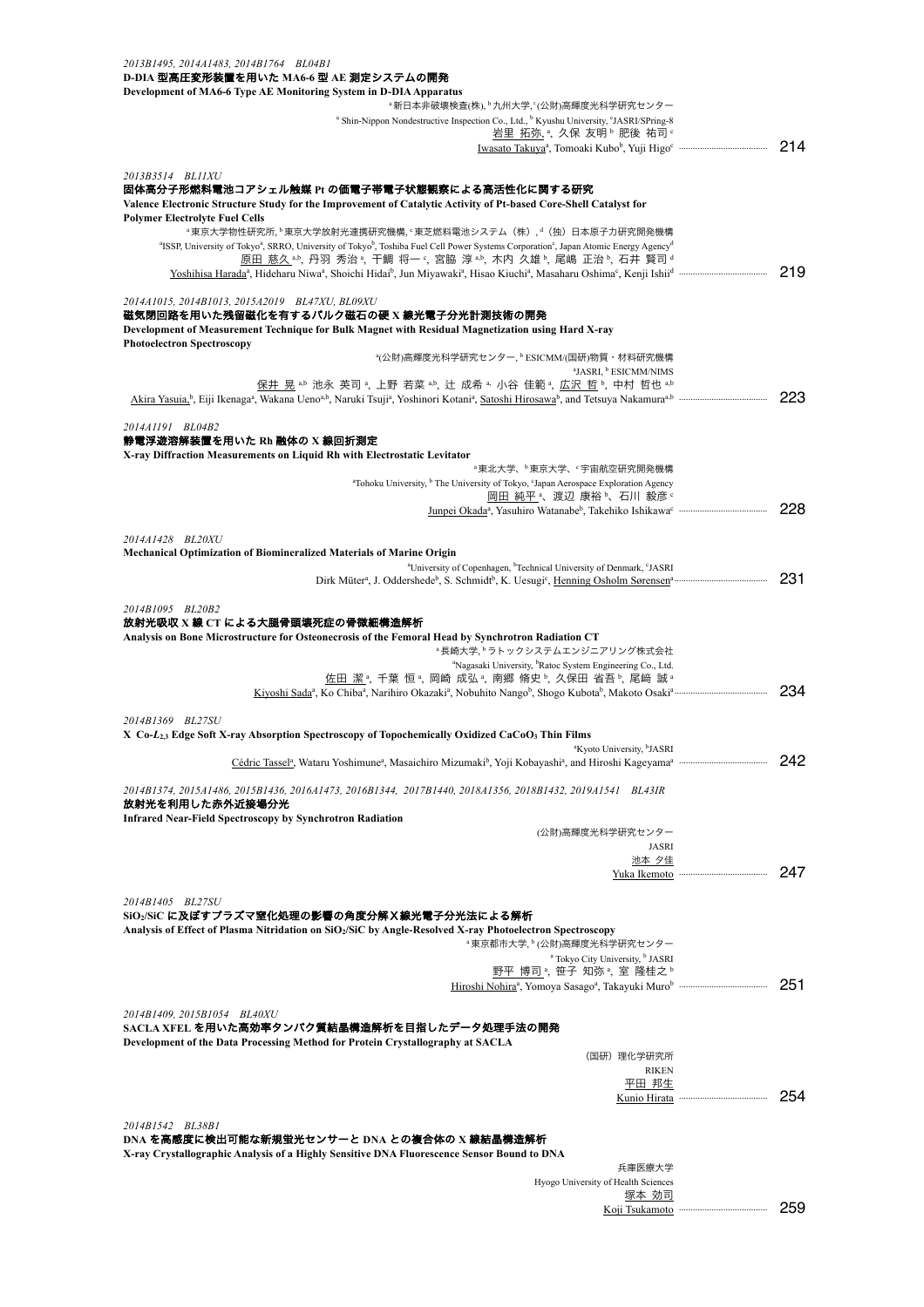| 2013B1495, 2014A1483, 2014B1764 BL04B1<br>D-DIA 型高圧変形装置を用いた MA6-6 型 AE 測定システムの開発                                                                                                                  |     |
|---------------------------------------------------------------------------------------------------------------------------------------------------------------------------------------------------|-----|
| Development of MA6-6 Type AE Monitoring System in D-DIA Apparatus                                                                                                                                 |     |
| <sup>。</sup> 新日本非破壊検査(株), <sup>b</sup> 九州大学, ゚(公財)高輝度光科学研究センター                                                                                                                                    |     |
| <sup>a</sup> Shin-Nippon Nondestructive Inspection Co., Ltd., <sup>b</sup> Kyushu University, <sup>c</sup> JASRI/SPring-8                                                                         |     |
| 岩里 拓弥, ª, 久保 友明 ʰ 肥後 祐司 º                                                                                                                                                                         | 214 |
|                                                                                                                                                                                                   |     |
| 2013B3514 BL11XU                                                                                                                                                                                  |     |
| 固体高分子形燃料電池コアシェル触媒 Pt の価電子帯電子状態観察による高活性化に関する研究<br>Valence Electronic Structure Study for the Improvement of Catalytic Activity of Pt-based Core-Shell Catalyst for                                 |     |
| <b>Polymer Electrolyte Fuel Cells</b>                                                                                                                                                             |     |
| <sup>。</sup> 東京大学物性研究所, <sup>b</sup> 東京大学放射光連携研究機構, °東芝燃料電池システム (株), <sup>d</sup> (独) 日本原子力研究開発機構                                                                                                 |     |
| <sup>a</sup> ISSP, University of Tokyo <sup>a</sup> , SRRO, University of Tokyo <sup>b</sup> , Toshiba Fuel Cell Power Systems Corporation <sup>c</sup> , Japan Atomic Energy Agency <sup>d</sup> |     |
| 原田 慈久 *b, 丹羽 秀治 *, 干鯛 将一 °, 宮脇 淳 *b, 木内 久雄 b, 尾嶋 正治 b, 石井 賢司 d                                                                                                                                    | 219 |
|                                                                                                                                                                                                   |     |
| 2014A1015, 2014B1013, 2015A2019 BL47XU, BL09XU                                                                                                                                                    |     |
| 磁気閉回路を用いた残留磁化を有するバルク磁石の硬 x 線光電子分光計測技術の開発                                                                                                                                                          |     |
| Development of Measurement Technique for Bulk Magnet with Residual Magnetization using Hard X-ray<br><b>Photoelectron Spectroscopy</b>                                                            |     |
| <sup>a</sup> (公財)高輝度光科学研究センター, b ESICMM/(国研)物質・材料研究機構                                                                                                                                             |     |
| <sup>a</sup> JASRI, <sup>b</sup> ESICMM/NIMS                                                                                                                                                      |     |
| 保井 晃 *b 池永 英司 *、上野 若菜 *b、辻 成希 * 小谷 佳範 *、広沢 哲 b、中村 哲也 *b                                                                                                                                           |     |
|                                                                                                                                                                                                   | 223 |
| 2014A1191 BL04B2                                                                                                                                                                                  |     |
| 静電浮遊溶解装置を用いた Rh 融体の X 線回折測定                                                                                                                                                                       |     |
| X-ray Diffraction Measurements on Liquid Rh with Electrostatic Levitator                                                                                                                          |     |
| <sup>。</sup> 東北大学、 <sup>b</sup> 東京大学、 字宙航空研究開発機構                                                                                                                                                  |     |
| <sup>a</sup> Tohoku University, <sup>b</sup> The University of Tokyo, 'Japan Aerospace Exploration Agency<br>岡田 純平 、渡辺 康裕 、石川 毅彦 。                                                                |     |
|                                                                                                                                                                                                   | 228 |
|                                                                                                                                                                                                   |     |
| 2014A1428 BL20XU                                                                                                                                                                                  |     |
| <b>Mechanical Optimization of Biomineralized Materials of Marine Origin</b>                                                                                                                       |     |
| <sup>a</sup> University of Copenhagen, <sup>b</sup> Technical University of Denmark, <sup>c</sup> JASRI                                                                                           | 231 |
|                                                                                                                                                                                                   |     |
| 2014B1095 BL20B2                                                                                                                                                                                  |     |
| 放射光吸収 X 線 CT による大腿骨頭壊死症の骨微細構造解析                                                                                                                                                                   |     |
| Analysis on Bone Microstructure for Osteonecrosis of the Femoral Head by Synchrotron Radiation CT<br><sup>a</sup> 長崎大学、 <sup>b</sup> ラトックシステムエンジニアリング株式会社                                         |     |
| <sup>a</sup> Nagasaki University, <sup>b</sup> Ratoc System Engineering Co., Ltd.                                                                                                                 |     |
| 佐田 潔 ª, 千葉 恒 ª, 岡崎 成弘 ª, 南郷 脩史 ʰ, 久保田 省吾 ʰ, 尾﨑 誠 ª                                                                                                                                                |     |
|                                                                                                                                                                                                   | 234 |
| 2014B1369 BL27SU                                                                                                                                                                                  |     |
| X Co-L <sub>2,3</sub> Edge Soft X-ray Absorption Spectroscopy of Topochemically Oxidized CaCoO <sub>3</sub> Thin Films                                                                            |     |
| <sup>a</sup> Kyoto University, <sup>b</sup> JASRI                                                                                                                                                 |     |
|                                                                                                                                                                                                   | 242 |
| 2014B1374, 2015A1486, 2015B1436, 2016A1473, 2016B1344, 2017B1440, 2018A1356, 2018B1432, 2019A1541 BL43IR                                                                                          |     |
| 放射光を利用した赤外近接場分光                                                                                                                                                                                   |     |
| <b>Infrared Near-Field Spectroscopy by Synchrotron Radiation</b>                                                                                                                                  |     |
| (公財)高輝度光科学研究センター                                                                                                                                                                                  |     |
| JASRI                                                                                                                                                                                             |     |
| 池本 夕佳                                                                                                                                                                                             | 247 |
|                                                                                                                                                                                                   |     |
| 2014B1405 BL27SU                                                                                                                                                                                  |     |
| SiO:/SiC に及ぼすプラズマ窒化処理の影響の角度分解X線光電子分光法による解析                                                                                                                                                        |     |
| Analysis of Effect of Plasma Nitridation on SiO2/SiC by Angle-Resolved X-ray Photoelectron Spectroscopy<br>"東京都市大学, <sup>b</sup> (公財)高輝度光科学研究センター                                                 |     |
| <sup>a</sup> Tokyo City University, <sup>b</sup> JASRI                                                                                                                                            |     |
| 野平 博司 ª, 笹子 知弥 ª, 室 隆桂之 ʰ                                                                                                                                                                         |     |
|                                                                                                                                                                                                   | 251 |
| 2014B1409, 2015B1054 BL40XU                                                                                                                                                                       |     |
| SACLA XFEL を用いた高効率タンパク質結晶構造解析を目指したデータ処理手法の開発                                                                                                                                                      |     |
| Development of the Data Processing Method for Protein Crystallography at SACLA                                                                                                                    |     |
| (国研)理化学研究所                                                                                                                                                                                        |     |
| <b>RIKEN</b><br>平田 邦生                                                                                                                                                                             |     |
|                                                                                                                                                                                                   | 254 |
|                                                                                                                                                                                                   |     |
| 2014B1542 BL38B1                                                                                                                                                                                  |     |
| DNA を高感度に検出可能な新規蛍光センサーと DNA との複合体の X 線結晶構造解析<br>X-ray Crystallographic Analysis of a Highly Sensitive DNA Fluorescence Sensor Bound to DNA                                                        |     |
| 兵庫医療大学                                                                                                                                                                                            |     |

Hyogo University of Health Sciences 塚本 効司

Koji Tsukamoto ······································ 259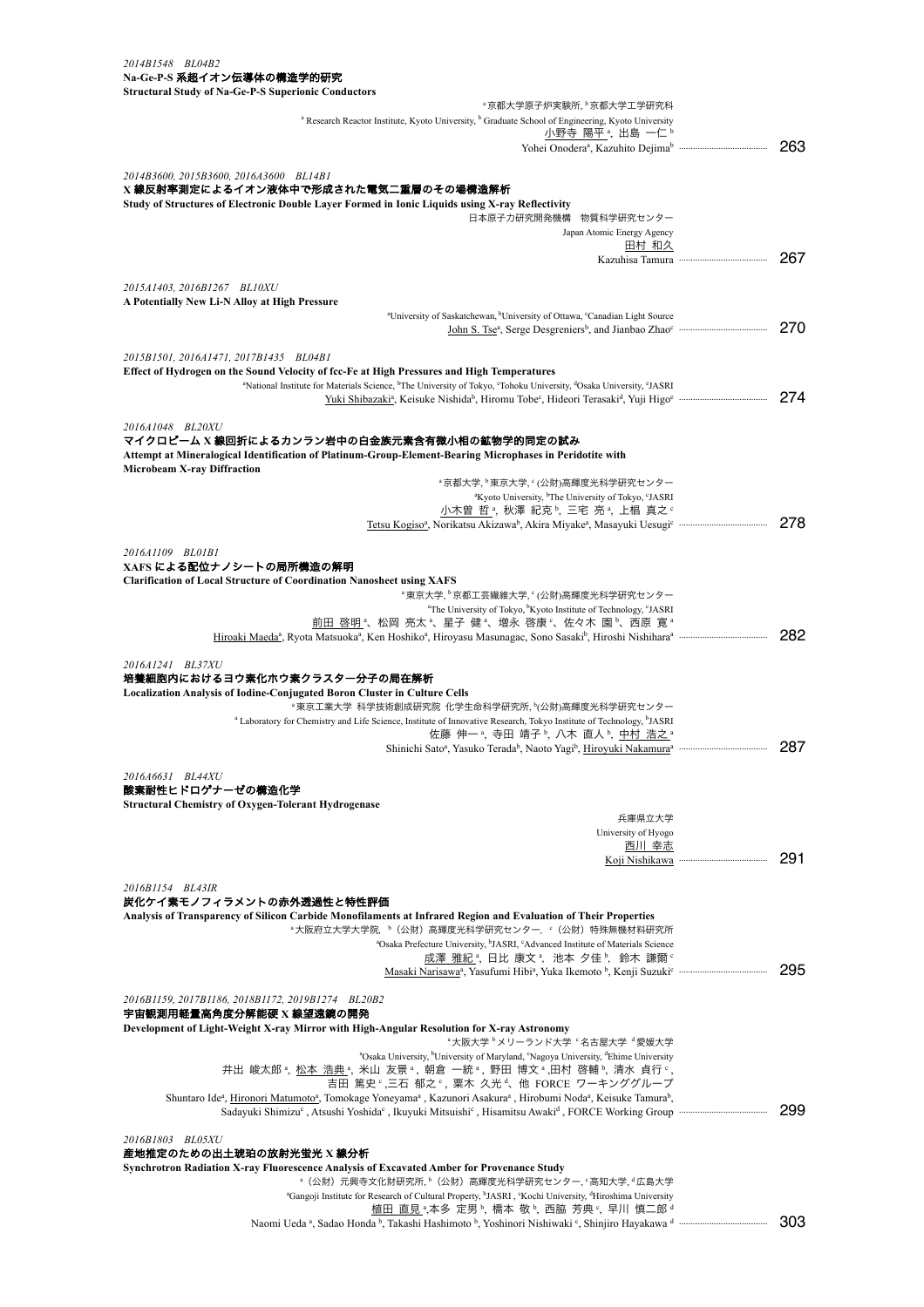| эн асшгаг энциу от га-эс-т -э эпрегюнк сонциског з<br>ª京都大学原子炉実験所, ʰ京都大学工学研究科                                                                                                  |     |
|--------------------------------------------------------------------------------------------------------------------------------------------------------------------------------|-----|
| <sup>a</sup> Research Reactor Institute, Kyoto University, <sup>b</sup> Graduate School of Engineering, Kyoto University                                                       |     |
| 小野寺 陽平 ª, 出島 一仁 ʰ                                                                                                                                                              |     |
|                                                                                                                                                                                | 263 |
| 2014B3600, 2015B3600, 2016A3600 BL14B1                                                                                                                                         |     |
| X 線反射率測定によるイオン液体中で形成された電気二重層のその場構造解析                                                                                                                                           |     |
| Study of Structures of Electronic Double Layer Formed in Ionic Liquids using X-ray Reflectivity                                                                                |     |
| 日本原子力研究開発機構<br>物質科学研究センター                                                                                                                                                      |     |
| Japan Atomic Energy Agency                                                                                                                                                     |     |
| 田村 和久                                                                                                                                                                          | 267 |
|                                                                                                                                                                                |     |
| 2015A1403, 2016B1267 BL10XU                                                                                                                                                    |     |
| A Potentially New Li-N Alloy at High Pressure                                                                                                                                  |     |
| <sup>a</sup> University of Saskatchewan, <sup>b</sup> University of Ottawa, <sup>c</sup> Canadian Light Source                                                                 |     |
|                                                                                                                                                                                | 270 |
| 2015B1501, 2016A1471, 2017B1435 BL04B1                                                                                                                                         |     |
| Effect of Hydrogen on the Sound Velocity of fcc-Fe at High Pressures and High Temperatures                                                                                     |     |
| <sup>a</sup> National Institute for Materials Science, <sup>b</sup> The University of Tokyo, <sup>c</sup> Tohoku University, <sup>d</sup> Osaka University, <sup>c</sup> JASRI |     |
|                                                                                                                                                                                | 274 |
|                                                                                                                                                                                |     |
| 2016A1048 BL20XU<br>マイクロビーム X 線回折によるカンラン岩中の白金族元素含有微小相の鉱物学的同定の試み                                                                                                                |     |
| Attempt at Mineralogical Identification of Platinum-Group-Element-Bearing Microphases in Peridotite with                                                                       |     |
| <b>Microbeam X-ray Diffraction</b>                                                                                                                                             |     |
| <sup>。</sup> 京都大学, <sup>。</sup> 東京大学, ° (公財)高輝度光科学研究センター                                                                                                                       |     |
| <sup>a</sup> Kyoto University, <sup>b</sup> The University of Tokyo, <sup>c</sup> JASRI                                                                                        |     |
| 小木曽 哲 ª, 秋澤 紀克 ʰ, 三宅 亮 ª, 上椙 真之 º                                                                                                                                              | 278 |
|                                                                                                                                                                                |     |
| 2016A1109 BL01B1                                                                                                                                                               |     |
| XAFS による配位ナノシートの局所構造の解明                                                                                                                                                        |     |
| <b>Clarification of Local Structure of Coordination Nanosheet using XAFS</b>                                                                                                   |     |
| <sup>。</sup> 東京大学, <sup>。</sup> 京都工芸繊維大学, ° (公財)高輝度光科学研究センター                                                                                                                   |     |
| <sup>a</sup> The University of Tokyo, <sup>b</sup> Kyoto Institute of Technology, <sup>c</sup> JASRI<br>前田 啓明 4、松岡 亮太 4、星子 健 4、増永 啓康 6、佐々木 園 b、西原 寛 @                          |     |
|                                                                                                                                                                                | 282 |
|                                                                                                                                                                                |     |
| 2016A1241 BL37XU                                                                                                                                                               |     |
| 培養細胞内におけるヨウ素化ホウ素クラスター分子の局在解析                                                                                                                                                   |     |
| Localization Analysis of Iodine-Conjugated Boron Cluster in Culture Cells<br><sup></sup> 東京工業大学 科学技術創成研究院 化学生命科学研究所, ヤ公財)高輝度光科学研究センター                                          |     |
| a Laboratory for Chemistry and Life Science, Institute of Innovative Research, Tokyo Institute of Technology, <sup>b</sup> JASRI                                               |     |
| 佐藤 伸一 ª, 寺田 靖子 ʰ, 八木 直人 ʰ, 中村 浩之 ª                                                                                                                                             |     |
|                                                                                                                                                                                | 287 |
|                                                                                                                                                                                |     |
| 2016A6631 BL44XU<br><b>を耐性ヒドロゲナーゼの構造化学</b>                                                                                                                                     |     |
| <b>Structural Chemistry of Oxygen-Tolerant Hydrogenase</b>                                                                                                                     |     |
| 兵庫県立大学                                                                                                                                                                         |     |
| University of Hyogo                                                                                                                                                            |     |
| 西川 幸志                                                                                                                                                                          |     |
|                                                                                                                                                                                | 291 |
| 2016B1154 BL43IR                                                                                                                                                               |     |
| 炭化ケイ素モノフィラメントの赤外透過性と特性評価                                                                                                                                                       |     |
| Analysis of Transparency of Silicon Carbide Monofilaments at Infrared Region and Evaluation of Their Properties                                                                |     |
| <sup>。</sup> 大阪府立大学大学院, <sup>b</sup> (公財) 高輝度光科学研究センター, <sup>c</sup> (公財) 特殊無機材料研究所                                                                                            |     |
| <sup>a</sup> Osaka Prefecture University, <sup>b</sup> JASRI, <sup>c</sup> Advanced Institute of Materials Science                                                             |     |
| 成澤 雅紀 ª, 日比 康文 ª, 池本 夕佳 ʰ, 鈴木 謙爾 º                                                                                                                                             | 295 |
|                                                                                                                                                                                |     |
| 2016B1159, 2017B1186, 2018B1172, 2019B1274 BL20B2                                                                                                                              |     |
| 宇宙観測用軽量高角度分解能硬 X 線望遠鏡の開発                                                                                                                                                       |     |
| Development of Light-Weight X-ray Mirror with High-Angular Resolution for X-ray Astronomy                                                                                      |     |
| <sup>。</sup> 大阪大学 <sup>。</sup> メリーランド大学 ·名古屋大学 <sup>。</sup> 愛媛大学                                                                                                               |     |
| <sup>a</sup> Osaka University, <sup>b</sup> University of Maryland, 'Nagoya University, <sup>d</sup> Ehime University<br>井出 峻太郎。,松本 浩典。,米山 友景。,朝倉 一統。,野田 博文。,田村 啓輔。,清水 貞行。,    |     |
| 吉田 篤史。三石 郁之。,粟木 久光 、他 FORCE ワーキンググループ                                                                                                                                          |     |
| Shuntaro Ideª, Hironori Matumotoª, Tomokage Yoneyamaª, Kazunori Asakuraª, Hirobumi Nodaª, Keisuke Tamura <sup>b</sup> ,                                                        |     |
|                                                                                                                                                                                | 299 |
|                                                                                                                                                                                |     |
| 2016B1803 BL05XU                                                                                                                                                               |     |
| 産地推定のための出土琥珀の放射光蛍光 X 線分析<br>Synchrotron Radiation X-ray Fluorescence Analysis of Excavated Amber for Provenance Study                                                          |     |
| <sup>。</sup> (公財)元興寺文化財研究所, <sup>b</sup> (公財)高輝度光科学研究センター, ° 高知大学, ª 広島大学                                                                                                      |     |
| <sup>a</sup> Gangoji Institute for Research of Cultural Property, <sup>b</sup> JASRI, 'Kochi University, <sup>d</sup> Hiroshima University                                     |     |
| 植甲 直目 a 木多 完甲 b 香木 勘 b 再眩 芒曲 c 見川 植二郎 d                                                                                                                                        |     |

植田 直見 ﴿,本多 定男 % 橋本 敬 %, 西脇 芳典 %, 早川 慎二郎 d Naomi Ueda a , Sadao Honda b , Takashi Hashimoto b , Yoshinori Nishiwaki c , Shinjiro Hayakawa d ······································ 303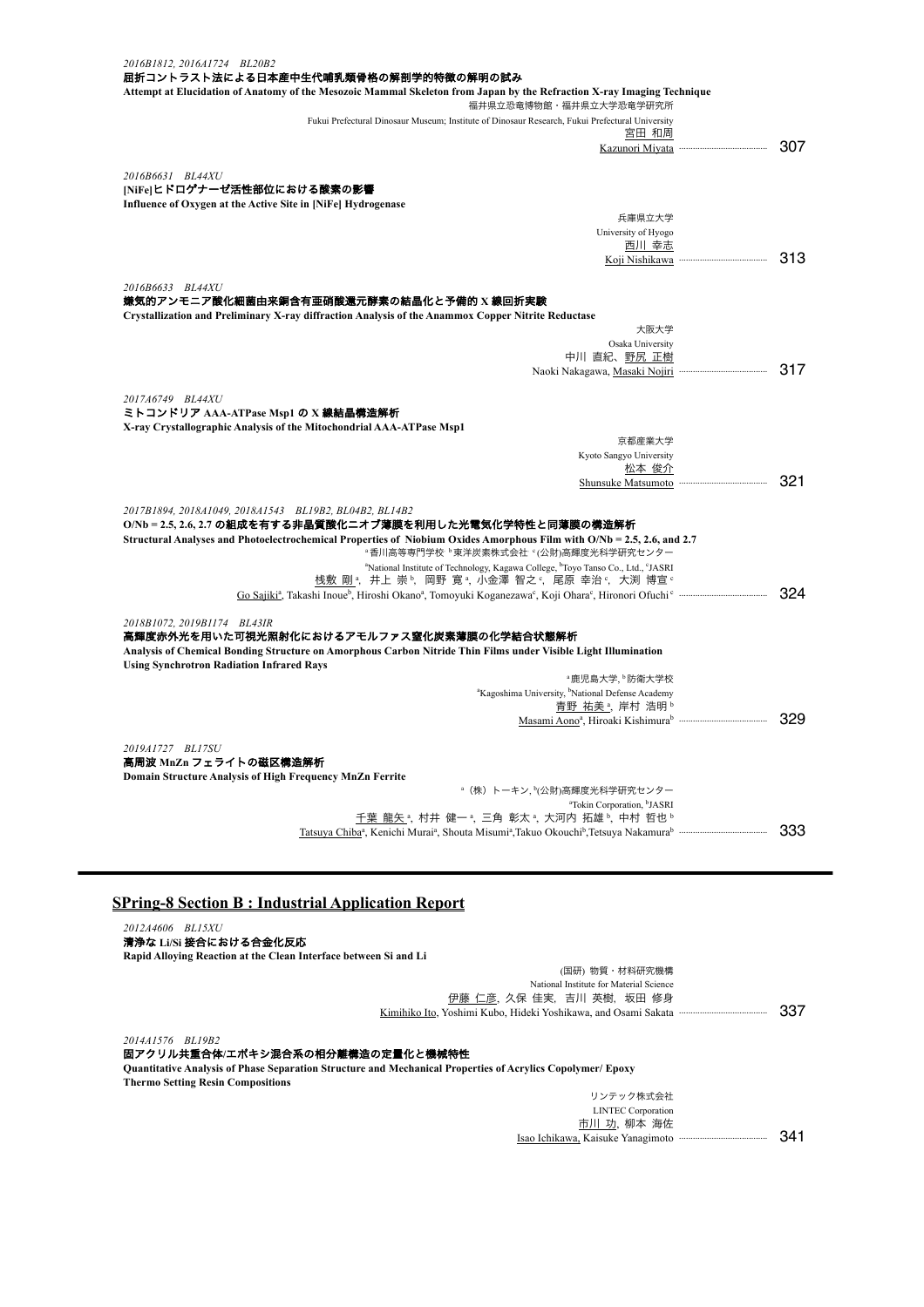| 2016B1812, 2016A1724 BL20B2<br>屈折コントラスト法による日本産中生代哺乳類骨格の解剖学的特徴の解明の試み                                                                                                             |     |
|---------------------------------------------------------------------------------------------------------------------------------------------------------------------------------|-----|
| Attempt at Elucidation of Anatomy of the Mesozoic Mammal Skeleton from Japan by the Refraction X-ray Imaging Technique<br>福井県立恐竜博物館・福井県立大学恐竜学研究所                                |     |
| Fukui Prefectural Dinosaur Museum; Institute of Dinosaur Research, Fukui Prefectural University                                                                                 |     |
| 宮田 和周                                                                                                                                                                           |     |
|                                                                                                                                                                                 | 307 |
|                                                                                                                                                                                 |     |
| 2016B6631 BL44XU                                                                                                                                                                |     |
| NiFe ヒドロゲナーゼ活性部位における酸素の影響                                                                                                                                                       |     |
| Influence of Oxygen at the Active Site in [NiFe] Hydrogenase                                                                                                                    |     |
| 兵庫県立大学                                                                                                                                                                          |     |
| University of Hyogo                                                                                                                                                             |     |
| 西川 幸志                                                                                                                                                                           |     |
|                                                                                                                                                                                 | 313 |
|                                                                                                                                                                                 |     |
| 2016B6633 BL44XU                                                                                                                                                                |     |
| 嫌気的アンモニア酸化細菌由来銅含有亜硝酸還元酵素の結晶化と予備的 X 線回折実験                                                                                                                                        |     |
| Crystallization and Preliminary X-ray diffraction Analysis of the Anammox Copper Nitrite Reductase                                                                              |     |
| 大阪大学                                                                                                                                                                            |     |
| Osaka University                                                                                                                                                                |     |
| 中川 直紀、野尻 正樹                                                                                                                                                                     |     |
|                                                                                                                                                                                 | 317 |
|                                                                                                                                                                                 |     |
| 2017A6749 BL44XU                                                                                                                                                                |     |
| ミトコンドリア AAA-ATPase Msp1 の X 線結晶構造解析                                                                                                                                             |     |
| X-ray Crystallographic Analysis of the Mitochondrial AAA-ATPase Msp1                                                                                                            |     |
| 京都産業大学                                                                                                                                                                          |     |
| Kyoto Sangyo University                                                                                                                                                         |     |
| 松本 俊介                                                                                                                                                                           |     |
|                                                                                                                                                                                 | 321 |
|                                                                                                                                                                                 |     |
| 2017B1894, 2018A1049, 2018A1543 BL19B2, BL04B2, BL14B2                                                                                                                          |     |
| O/Nb = 2.5, 2.6, 2.7 の組成を有する非晶質酸化ニオブ薄膜を利用した光電気化学特性と同薄膜の構造解析                                                                                                                     |     |
| Structural Analyses and Photoelectrochemical Properties of Niobium Oxides Amorphous Film with O/Nb = 2.5, 2.6, and 2.7                                                          |     |
| <sup>。</sup> 香川高等専門学校 <sup>。</sup> 東洋炭素株式会社 (公財)高輝度光科学研究センター                                                                                                                    |     |
| <sup>a</sup> National Institute of Technology, Kagawa College, <sup>b</sup> Toyo Tanso Co., Ltd., <sup>c</sup> JASRI                                                            |     |
| 桟敷 剛 ª, 井上 崇 ʰ, 岡野 寛 ª, 小金澤 智之 °, 尾原 幸治 °, 大渕 博宣 °                                                                                                                              |     |
| Go Sajiki <sup>a</sup> , Takashi Inoue <sup>b</sup> , Hiroshi Okano <sup>a</sup> , Tomoyuki Koganezawa <sup>c</sup> , Koji Ohara <sup>c</sup> , Hironori Ofuchi cammummummummum | 324 |
|                                                                                                                                                                                 |     |
| 2018B1072, 2019B1174 BL43IR                                                                                                                                                     |     |
| 高輝度赤外光を用いた可視光照射化におけるアモルファス窒化炭素薄膜の化学結合状態解析                                                                                                                                       |     |
| Analysis of Chemical Bonding Structure on Amorphous Carbon Nitride Thin Films under Visible Light Illumination                                                                  |     |
| <b>Using Synchrotron Radiation Infrared Rays</b>                                                                                                                                |     |
| ª鹿児島大学, ▷防衛大学校                                                                                                                                                                  |     |
| <sup>a</sup> Kagoshima University, <sup>b</sup> National Defense Academy                                                                                                        |     |
| <u>青野 祐美。,</u> 岸村 浩明。                                                                                                                                                           |     |
|                                                                                                                                                                                 | 329 |
|                                                                                                                                                                                 |     |
| 2019A1727 BL17SU                                                                                                                                                                |     |
| 高周波 MnZn フェライトの磁区構造解析                                                                                                                                                           |     |
| Domain Structure Analysis of High Frequency MnZn Ferrite                                                                                                                        |     |
| 。(株)トーキン, り公財)高輝度光科学研究センター                                                                                                                                                      |     |
| <sup>a</sup> Tokin Corporation, <sup>b</sup> JASRI                                                                                                                              |     |
| 千葉 龍矢 ,村井 健一 ,三角 彰太 ,大河内 拓雄 ,中村 哲也 。                                                                                                                                            |     |
| Tatsuya Chiba <sup>a</sup> , Kenichi Murai <sup>a</sup> , Shouta Misumi <sup>a</sup> , Takuo Okouchi <sup>b</sup> , Tetsuya Nakamura <sup>b</sup> mummummummummum               | 333 |
|                                                                                                                                                                                 |     |

# **SPring-8 Section B : Industrial Application Report**

| 2012A4606 BL15XU                                                 |     |
|------------------------------------------------------------------|-----|
| 清浄な Li/Si 接合における合金化反応                                            |     |
| Rapid Alloving Reaction at the Clean Interface between Si and Li |     |
| (国研) 物質・材料研究機構                                                   |     |
| National Institute for Material Science                          |     |
| 伊藤 仁彦, 久保 佳実, 吉川 英樹, 坂田 修身                                       |     |
| Kimihiko Ito, Yoshimi Kubo, Hideki Yoshikawa, and Osami Sakata   | 337 |
|                                                                  |     |

*2014A1576 BL19B2*

#### 固アクリル共重合体**/**エポキシ混合系の相分離構造の定量化と機械特性

**Quantitative Analysis of Phase Separation Structure and Mechanical Properties of Acrylics Copolymer/ Epoxy Thermo Setting Resin Compositions**

| リンテック株式会社                 |      |
|---------------------------|------|
| <b>LINTEC</b> Corporation |      |
| 市川 功、柳本 海佐                |      |
|                           | 341. |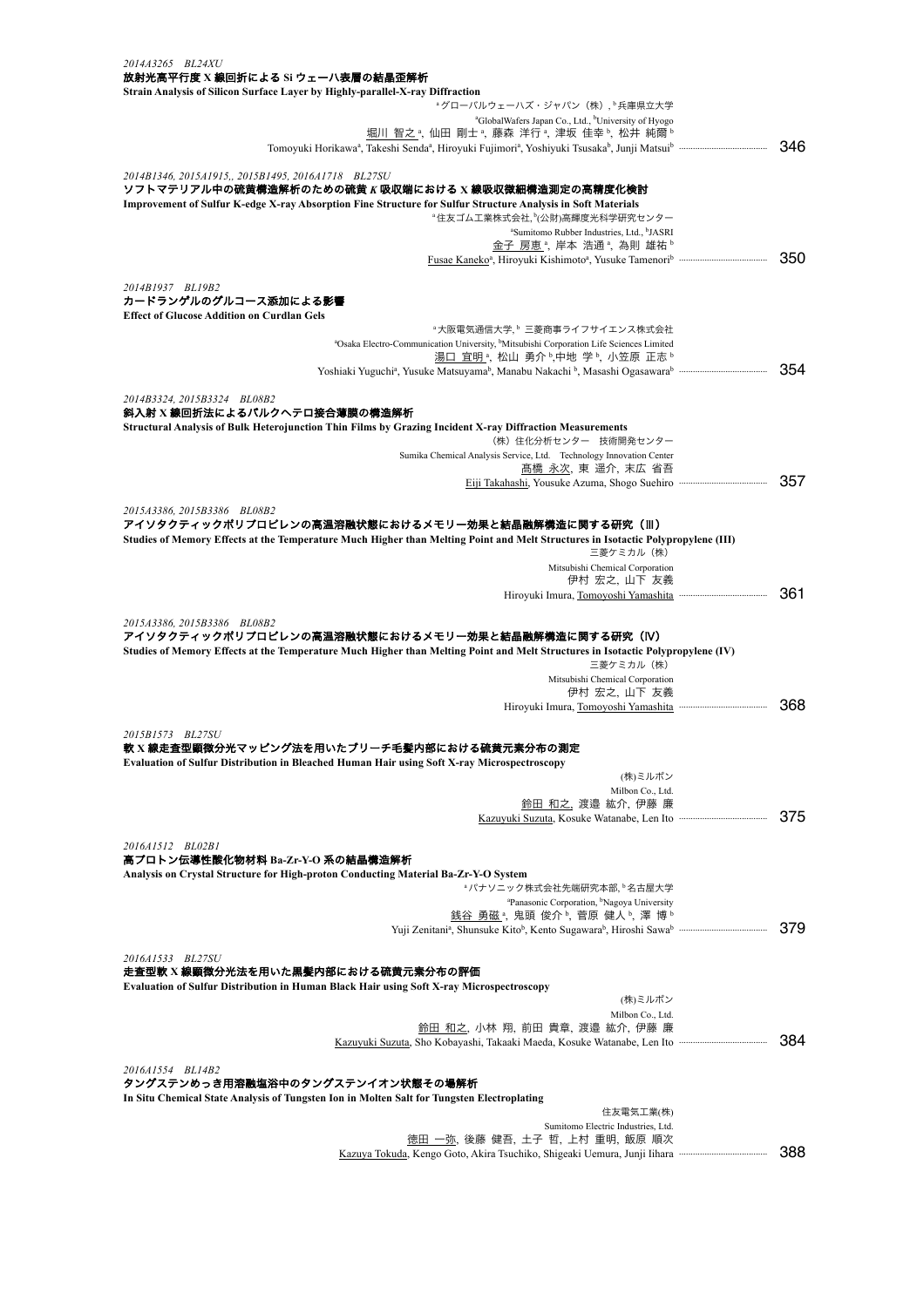| 2014A3265 BL24XU                                                                                                                                                                        |     |
|-----------------------------------------------------------------------------------------------------------------------------------------------------------------------------------------|-----|
| 放射光高平行度 X 線回折による Si ウェーハ表層の結晶歪解析<br>Strain Analysis of Silicon Surface Layer by Highly-parallel-X-ray Diffraction                                                                       |     |
| <sup>a</sup> グローバルウェーハズ・ジャパン (株), 長庫県立大学                                                                                                                                                |     |
| <sup>a</sup> GlobalWafers Japan Co., Ltd., <sup>b</sup> University of Hyogo                                                                                                             |     |
| 堀川 智之 ª, 仙田 剛士 ª, 藤森 洋行 ª, 津坂 佳幸 ʰ, 松井 純爾 ʰ                                                                                                                                             |     |
| Tomoyuki Horikawa <sup>a</sup> , Takeshi Senda <sup>a</sup> , Hiroyuki Fujimori <sup>a</sup> , Yoshiyuki Tsusaka <sup>b</sup> , Junji Matsuib mammammammammam                           | 346 |
| 2014B1346, 2015A1915,, 2015B1495, 2016A1718 BL27SU                                                                                                                                      |     |
| ソフトマテリアル中の硫黄構造解析のための硫黄 <i>K</i> 吸収端における X 線吸収微細構造測定の高精度化検討                                                                                                                              |     |
| Improvement of Sulfur K-edge X-ray Absorption Fine Structure for Sulfur Structure Analysis in Soft Materials                                                                            |     |
| <sup>。</sup> 住友ゴム工業株式会社, <sup>b</sup> (公財)高輝度光科学研究センター                                                                                                                                  |     |
| <sup>a</sup> Sumitomo Rubber Industries, Ltd., <sup>b</sup> JASRI<br>金子 房恵 ª, 岸本 浩通 ª, 為則 雄祐 ʰ                                                                                          |     |
|                                                                                                                                                                                         | 350 |
|                                                                                                                                                                                         |     |
| 2014B1937 BL19B2                                                                                                                                                                        |     |
| カードランゲルのグルコース添加による影響<br><b>Effect of Glucose Addition on Curdlan Gels</b>                                                                                                               |     |
| <sup>。</sup> 大阪電気通信大学, <sup>6</sup> 三菱商事ライフサイエンス株式会社                                                                                                                                    |     |
| <sup>a</sup> Osaka Electro-Communication University, <sup>b</sup> Mitsubishi Corporation Life Sciences Limited                                                                          |     |
| 湯口 宜明 ª, 松山 勇介 ʰ,中地 学 ʰ, 小笠原 正志 ʰ                                                                                                                                                       |     |
|                                                                                                                                                                                         | 354 |
| 2014B3324, 2015B3324 BL08B2                                                                                                                                                             |     |
| 斜入射 X 線回折法によるバルクへテロ接合薄膜の構造解析                                                                                                                                                            |     |
| Structural Analysis of Bulk Heterojunction Thin Films by Grazing Incident X-ray Diffraction Measurements                                                                                |     |
| (株) 住化分析センター 技術開発センター                                                                                                                                                                   |     |
| Sumika Chemical Analysis Service, Ltd. Technology Innovation Center<br>髙橋 永次, 東 遥介, 末広 省吾                                                                                               |     |
|                                                                                                                                                                                         | 357 |
|                                                                                                                                                                                         |     |
| 2015A3386, 2015B3386 BL08B2                                                                                                                                                             |     |
| アイソタクティックポリプロピレンの高温溶融状態におけるメモリー効果と結晶融解構造に関する研究(III)<br>Studies of Memory Effects at the Temperature Much Higher than Melting Point and Melt Structures in Isotactic Polypropylene (III) |     |
| 三菱ケミカル (株)                                                                                                                                                                              |     |
| Mitsubishi Chemical Corporation                                                                                                                                                         |     |
| 伊村 宏之, 山下 友義                                                                                                                                                                            |     |
|                                                                                                                                                                                         | 361 |
| 2015A3386, 2015B3386 BL08B2                                                                                                                                                             |     |
| アイソタクティックポリプロピレンの高温溶融状態におけるメモリー効果と結晶融解構造に関する研究(IV)                                                                                                                                      |     |
| Studies of Memory Effects at the Temperature Much Higher than Melting Point and Melt Structures in Isotactic Polypropylene (IV)                                                         |     |
| 三菱ケミカル (株)                                                                                                                                                                              |     |
| Mitsubishi Chemical Corporation<br>伊村 宏之,山下 友義                                                                                                                                          |     |
| Hiroyuki Imura, Tomoyoshi Yamashita                                                                                                                                                     | 368 |
|                                                                                                                                                                                         |     |
| 2015B1573 BL27SU                                                                                                                                                                        |     |
| 軟 X 線走査型顕微分光マッピング法を用いたブリーチ毛髪内部における硫黄元素分布の測定<br><b>Evaluation of Sulfur Distribution in Bleached Human Hair using Soft X-ray Microspectroscopy</b>                                       |     |
| (株)ミルボン                                                                                                                                                                                 |     |
| Milbon Co., Ltd.                                                                                                                                                                        |     |
| 鈴田 和之,渡邉 紘介,伊藤 廉                                                                                                                                                                        |     |
|                                                                                                                                                                                         | 375 |
| 2016A1512 BL02B1                                                                                                                                                                        |     |
| 高プロトン伝導性酸化物材料 Ba-Zr-Y-O 系の結晶構造解析                                                                                                                                                        |     |
| Analysis on Crystal Structure for High-proton Conducting Material Ba-Zr-Y-O System                                                                                                      |     |
| <sup>。</sup> パナソニック株式会社先端研究本部, <sup>6</sup> 名古屋大学                                                                                                                                       |     |
| <sup>a</sup> Panasonic Corporation, <sup>b</sup> Nagoya University<br><u>銭谷 勇磁</u> ª, 鬼頭 俊介ʰ, 菅原 健人ʰ, 澤 博ʰ                                                                              |     |
| Yuji Zenitani <sup>a</sup> , Shunsuke Kito <sup>b</sup> , Kento Sugawara <sup>b</sup> , Hiroshi Sawab <i>mummummummum</i>                                                               | 379 |
|                                                                                                                                                                                         |     |
| 2016A1533 BL27SU                                                                                                                                                                        |     |
| 走査型軟 X 線顕微分光法を用いた黒髪内部における硫黄元素分布の評価<br>Evaluation of Sulfur Distribution in Human Black Hair using Soft X-ray Microspectroscopy                                                          |     |
| (株)ミルボン                                                                                                                                                                                 |     |
| Milbon Co., Ltd.                                                                                                                                                                        |     |
| <u>鈴田 和之</u> , 小林 翔, 前田 貴章, 渡邉 紘介, 伊藤 廉                                                                                                                                                 |     |
| Kazuyuki Suzuta, Sho Kobayashi, Takaaki Maeda, Kosuke Watanabe, Len Ito mummummummum                                                                                                    | 384 |
| 2016A1554 BL14B2                                                                                                                                                                        |     |
| タングステンめっき用溶融塩浴中のタングステンイオン状態その場解析                                                                                                                                                        |     |
| In Situ Chemical State Analysis of Tungsten Ion in Molten Salt for Tungsten Electroplating                                                                                              |     |
| 住友電気工業(株)                                                                                                                                                                               |     |
| Sumitomo Electric Industries, Ltd.<br><u>徳田 一弥</u> , 後藤 健吾, 土子 哲, 上村 重明, 飯原 順次                                                                                                          |     |
| Kazuya Tokuda, Kengo Goto, Akira Tsuchiko, Shigeaki Uemura, Junji Iihara mummummummum                                                                                                   | 388 |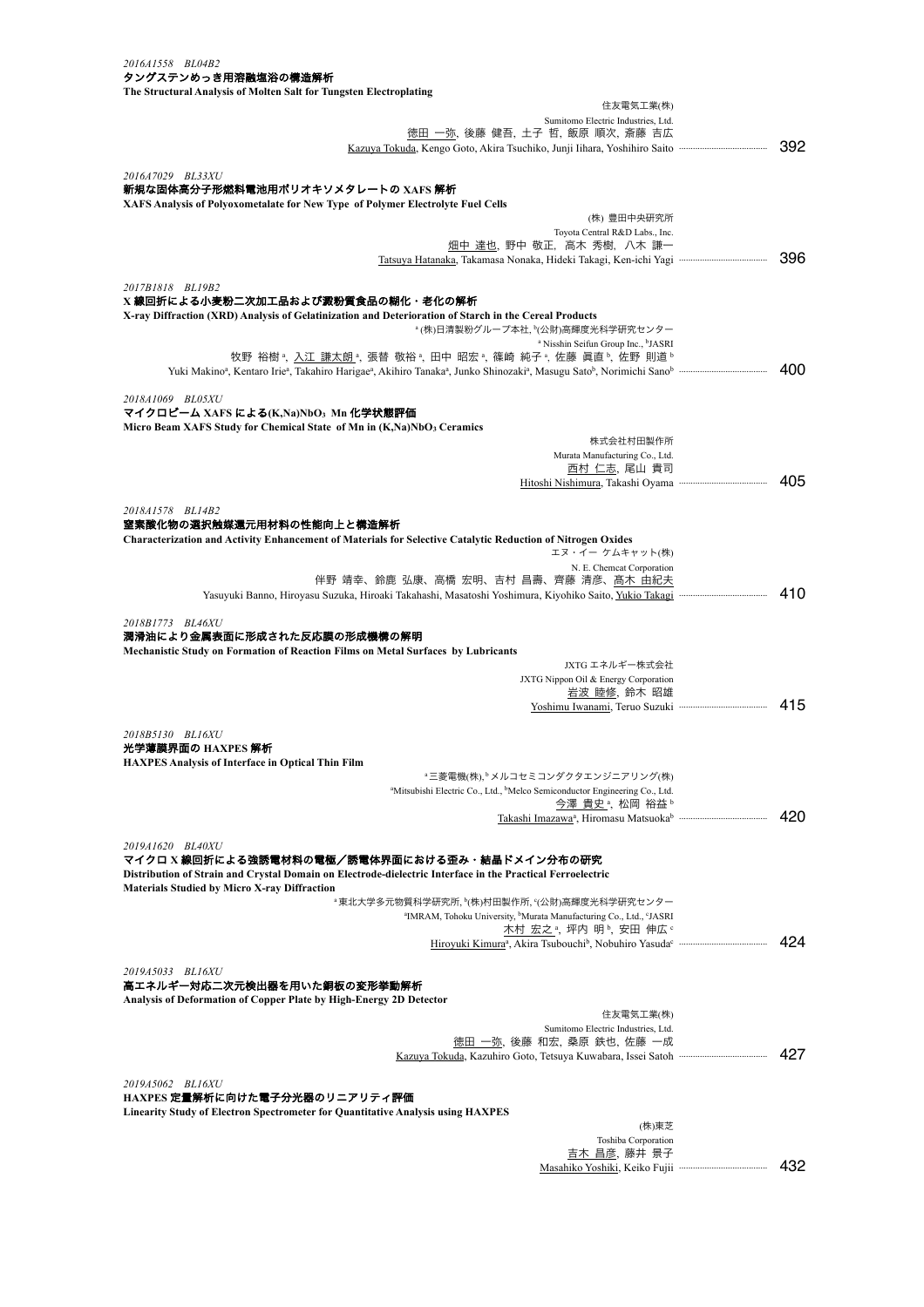| 2016A1558 BL04B2                                                                                                                                                                                             |         |
|--------------------------------------------------------------------------------------------------------------------------------------------------------------------------------------------------------------|---------|
| タングステンめっき用溶融塩浴の構造解析<br>The Structural Analysis of Molten Salt for Tungsten Electroplating                                                                                                                    |         |
| 住友電気工業(株)                                                                                                                                                                                                    |         |
| Sumitomo Electric Industries, Ltd.                                                                                                                                                                           |         |
| 徳田 一弥, 後藤 健吾, 土子 哲, 飯原 順次, 斎藤 吉広<br>Kazuya Tokuda, Kengo Goto, Akira Tsuchiko, Junji Iihara, Yoshihiro Saito mammuumuumuumu                                                                                  | 392     |
|                                                                                                                                                                                                              |         |
| 2016A7029 BL33XU                                                                                                                                                                                             |         |
| 新規な固体高分子形燃料電池用ポリオキソメタレートの XAFS 解析<br><b>XAFS Analysis of Polyoxometalate for New Type of Polymer Electrolyte Fuel Cells</b>                                                                                  |         |
| (株) 豊田中央研究所                                                                                                                                                                                                  |         |
| Toyota Central R&D Labs., Inc.<br>畑中 達也, 野中 敬正, 高木 秀樹, 八木 謙一                                                                                                                                                 |         |
|                                                                                                                                                                                                              | 396     |
|                                                                                                                                                                                                              |         |
| 2017B1818 BL19B2<br>X 線回折による小麦粉二次加工品および澱粉質食品の糊化・老化の解析                                                                                                                                                        |         |
| X-ray Diffraction (XRD) Analysis of Gelatinization and Deterioration of Starch in the Cereal Products                                                                                                        |         |
| ª (株)日清製粉グループ本社, ʰ(公財)高輝度光科学研究センター                                                                                                                                                                           |         |
| <sup>a</sup> Nisshin Seifun Group Inc., <sup>b</sup> JASRI<br>牧野 裕樹 , 入江 謙太朗 , 張替 敬裕 , 田中 昭宏 , 篠崎 純子 , 佐藤 眞直 , 佐野 則道 "                                                                                       |         |
| Yuki Makino <sup>a</sup> , Kentaro Irie <sup>a</sup> , Takahiro Harigae <sup>a</sup> , Akihiro Tanaka <sup>a</sup> , Junko Shinozaki <sup>a</sup> , Masugu Sato <sup>b</sup> , Norimichi Sanob mammammammamm | 400     |
|                                                                                                                                                                                                              |         |
| 2018A1069 BL05XU<br>マイクロビーム XAFS による(K,Na)NbO3 Mn 化学状態評価                                                                                                                                                     |         |
| Micro Beam XAFS Study for Chemical State of Mn in (K,Na)NbO <sub>3</sub> Ceramics                                                                                                                            |         |
| 株式会社村田製作所                                                                                                                                                                                                    |         |
| Murata Manufacturing Co., Ltd.                                                                                                                                                                               |         |
| <u>西村 仁志</u> , 尾山 貴司                                                                                                                                                                                         | 405     |
|                                                                                                                                                                                                              |         |
| 2018A1578 BL14B2                                                                                                                                                                                             |         |
| 窒素酸化物の選択触媒還元用材料の性能向上と構造解析                                                                                                                                                                                    |         |
| <b>Characterization and Activity Enhancement of Materials for Selective Catalytic Reduction of Nitrogen Oxides</b><br>エヌ・イー ケムキャット(株)                                                                        |         |
| N. E. Chemcat Corporation                                                                                                                                                                                    |         |
| 伴野 靖幸、鈴鹿 弘康、高橋 宏明、吉村 昌壽、齊藤 清彦、 <u>髙木 由紀夫</u>                                                                                                                                                                 | 410     |
|                                                                                                                                                                                                              |         |
| 2018B1773 BL46XU                                                                                                                                                                                             |         |
| 潤滑油により金属表面に形成された反応膜の形成機構の解明                                                                                                                                                                                  |         |
| <b>Mechanistic Study on Formation of Reaction Films on Metal Surfaces by Lubricants</b><br>JXTG エネルギー株式会社                                                                                                    |         |
| JXTG Nippon Oil & Energy Corporation                                                                                                                                                                         |         |
| <u>岩波 睦修</u> , 鈴木 昭雄                                                                                                                                                                                         |         |
|                                                                                                                                                                                                              | 415     |
| 2018B5130 BL16XU                                                                                                                                                                                             |         |
| 光学薄膜界面の HAXPES 解析                                                                                                                                                                                            |         |
| <b>HAXPES Analysis of Interface in Optical Thin Film</b>                                                                                                                                                     |         |
| "三菱電機(株), <sup>b</sup> メルコセミコンダクタエンジニアリング(株)<br><sup>a</sup> Mitsubishi Electric Co., Ltd., <sup>b</sup> Melco Semiconductor Engineering Co., Ltd.                                                           |         |
| <u>今澤 貴史ª,</u> 松岡 裕益ʰ                                                                                                                                                                                        |         |
|                                                                                                                                                                                                              | 420     |
| 2019A1620 BL40XU                                                                                                                                                                                             |         |
| マイクロ X 線回折による強誘電材料の電極/誘電体界面における歪み・結晶ドメイン分布の研究                                                                                                                                                                |         |
| Distribution of Strain and Crystal Domain on Electrode-dielectric Interface in the Practical Ferroelectric                                                                                                   |         |
| <b>Materials Studied by Micro X-ray Diffraction</b>                                                                                                                                                          |         |
| "東北大学多元物質科学研究所, "(株)村田製作所, "(公財)高輝度光科学研究センター<br><sup>a</sup> IMRAM, Tohoku University, <sup>b</sup> Murata Manufacturing Co., Ltd., <sup>c</sup> JASRI                                                       |         |
| 木村 宏之 <sup>。</sup> ,坪内 明, 安田 伸広。                                                                                                                                                                             |         |
|                                                                                                                                                                                                              | 424     |
| 2019A5033 BL16XU                                                                                                                                                                                             |         |
| 高エネルギー対応二次元検出器を用いた銅板の変形挙動解析                                                                                                                                                                                  |         |
| Analysis of Deformation of Copper Plate by High-Energy 2D Detector                                                                                                                                           |         |
| 住友電気工業(株)<br>Sumitomo Electric Industries, Ltd.                                                                                                                                                              |         |
| 徳田 一弥,後藤 和宏,桑原 鉄也,佐藤 一成                                                                                                                                                                                      |         |
|                                                                                                                                                                                                              | 427     |
|                                                                                                                                                                                                              |         |
| 2019A5062 BL16XU<br>HAXPES 定量解析に向けた電子分光器のリニアリティ評価                                                                                                                                                            |         |
| <b>Linearity Study of Electron Spectrometer for Quantitative Analysis using HAXPES</b>                                                                                                                       |         |
| (株)東芝                                                                                                                                                                                                        |         |
| Toshiba Corporation<br>吉木 昌彦, 藤井 景子                                                                                                                                                                          |         |
| Masahiko Yoshiki, Keiko Fujii                                                                                                                                                                                | 432<br> |